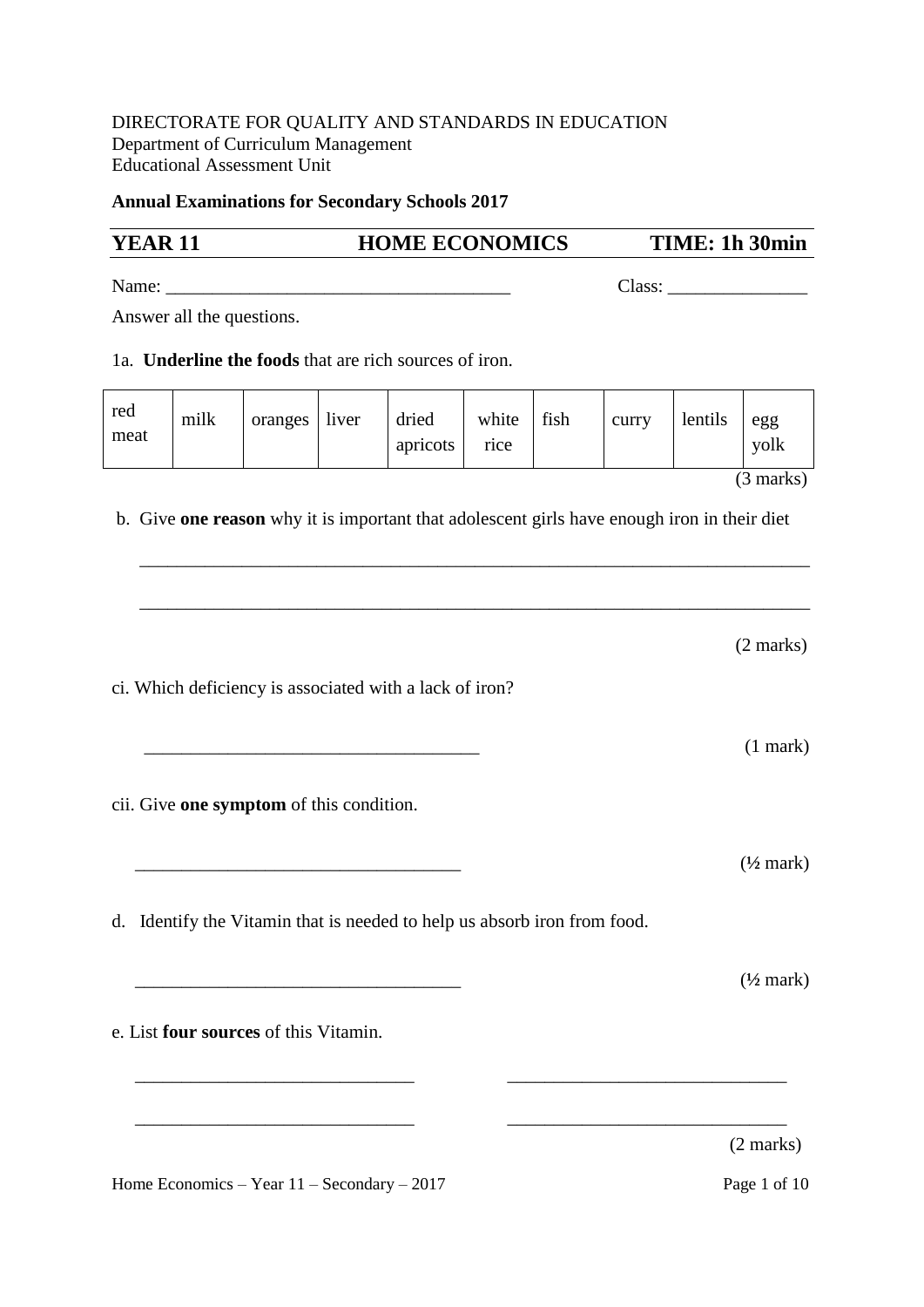## DIRECTORATE FOR QUALITY AND STANDARDS IN EDUCATION Department of Curriculum Management Educational Assessment Unit

## **Annual Examinations for Secondary Schools 2017**

| <b>YEAR 11</b> |                           |                                          | <b>HOME ECONOMICS</b> |                                                                                             |               |      | TIME: 1h 30min |         |                      |
|----------------|---------------------------|------------------------------------------|-----------------------|---------------------------------------------------------------------------------------------|---------------|------|----------------|---------|----------------------|
|                |                           |                                          |                       |                                                                                             |               |      | Class:         |         |                      |
|                | Answer all the questions. |                                          |                       |                                                                                             |               |      |                |         |                      |
|                |                           |                                          |                       | 1a. <b>Underline the foods</b> that are rich sources of iron.                               |               |      |                |         |                      |
| red<br>meat    | milk                      | oranges                                  | liver                 | dried<br>apricots                                                                           | white<br>rice | fish | curry          | lentils | egg<br>yolk          |
|                |                           |                                          |                       |                                                                                             |               |      |                |         | $(3 \text{ marks})$  |
|                |                           |                                          |                       | b. Give one reason why it is important that adolescent girls have enough iron in their diet |               |      |                |         |                      |
|                |                           |                                          |                       |                                                                                             |               |      |                |         | $(2 \text{ marks})$  |
|                |                           |                                          |                       | ci. Which deficiency is associated with a lack of iron?                                     |               |      |                |         | $(1$ mark $)$        |
|                |                           | cii. Give one symptom of this condition. |                       |                                                                                             |               |      |                |         |                      |
|                |                           |                                          |                       |                                                                                             |               |      |                |         | $(\frac{1}{2}$ mark) |
|                |                           |                                          |                       | d. Identify the Vitamin that is needed to help us absorb iron from food.                    |               |      |                |         |                      |
|                |                           |                                          |                       |                                                                                             |               |      |                |         | $(\frac{1}{2}$ mark) |
|                |                           | e. List four sources of this Vitamin.    |                       |                                                                                             |               |      |                |         |                      |
|                |                           |                                          |                       |                                                                                             |               |      |                |         |                      |
|                |                           |                                          |                       |                                                                                             |               |      |                |         | $(2 \text{ marks})$  |

Home Economics – Year 11 – Secondary – 2017 Page 1 of 10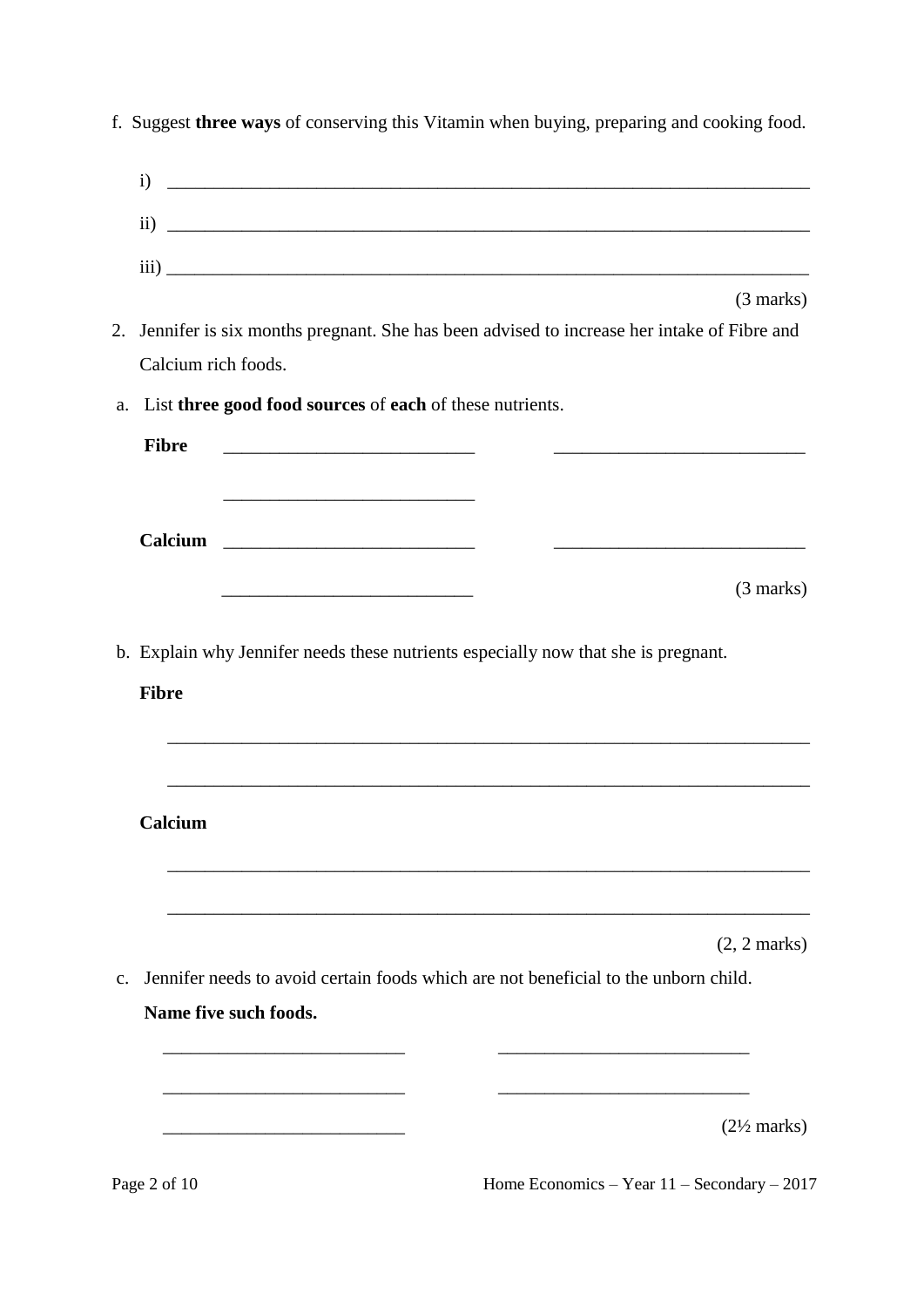|               | $\mathbf{i}$<br><u> 1989 - Jan James James James James James James James James James James James James James James James James J</u>                                                                                                 |
|---------------|--------------------------------------------------------------------------------------------------------------------------------------------------------------------------------------------------------------------------------------|
|               | $\rm ii)$                                                                                                                                                                                                                            |
|               |                                                                                                                                                                                                                                      |
|               | $\overline{\text{iii)}}$<br>$(3 \text{ marks})$                                                                                                                                                                                      |
| 2.            | Jennifer is six months pregnant. She has been advised to increase her intake of Fibre and                                                                                                                                            |
|               | Calcium rich foods.                                                                                                                                                                                                                  |
| a.            | List three good food sources of each of these nutrients.                                                                                                                                                                             |
|               | <b>Fibre</b>                                                                                                                                                                                                                         |
|               | <u> 1989 - Johann John Stone, markin amerikan basal dan berkembang di banyak di banyak di banyak di banyak di banyak di banyak di banyak di banyak di banyak di banyak di banyak di banyak di banyak di banyak di banyak di bany</u> |
|               |                                                                                                                                                                                                                                      |
|               | (3 marks)                                                                                                                                                                                                                            |
|               |                                                                                                                                                                                                                                      |
|               | b. Explain why Jennifer needs these nutrients especially now that she is pregnant.                                                                                                                                                   |
|               | <b>Fibre</b>                                                                                                                                                                                                                         |
|               |                                                                                                                                                                                                                                      |
|               |                                                                                                                                                                                                                                      |
|               |                                                                                                                                                                                                                                      |
|               | Calcium                                                                                                                                                                                                                              |
|               |                                                                                                                                                                                                                                      |
|               |                                                                                                                                                                                                                                      |
|               | $(2, 2 \text{ marks})$                                                                                                                                                                                                               |
| $C_{\bullet}$ | Jennifer needs to avoid certain foods which are not beneficial to the unborn child.                                                                                                                                                  |
|               | Name five such foods.                                                                                                                                                                                                                |
|               |                                                                                                                                                                                                                                      |
|               |                                                                                                                                                                                                                                      |
|               | $(2\frac{1}{2}$ marks)                                                                                                                                                                                                               |
|               |                                                                                                                                                                                                                                      |

f. Suggest **three ways** of conserving this Vitamin when buying, preparing and cooking food.

Page 2 of 10 Home Economics – Year 11 – Secondary – 2017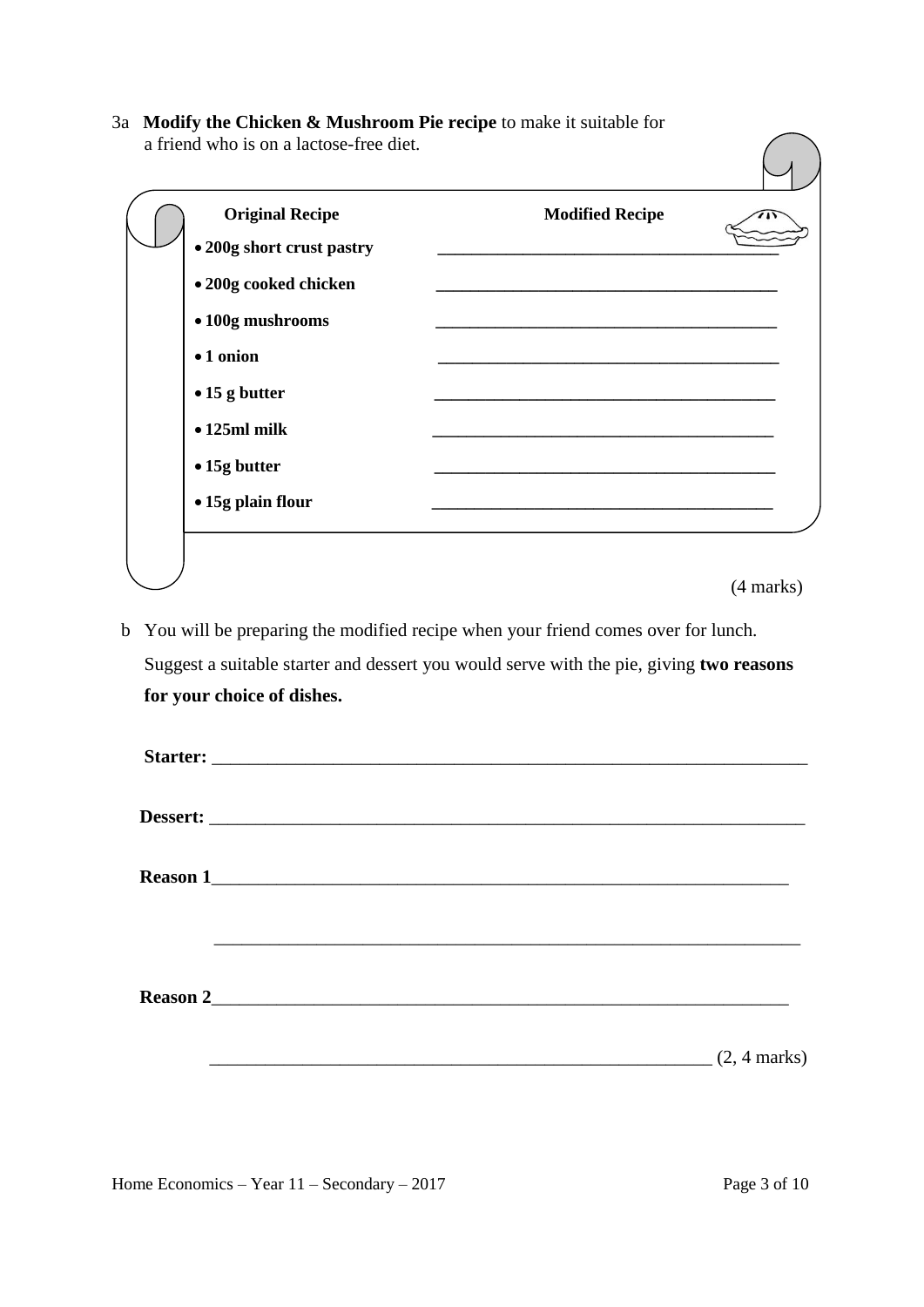3a **Modify the Chicken & Mushroom Pie recipe** to make it suitable for a friend who is on a lactose-free diet.

| <b>Original Recipe</b>    | <b>Modified Recipe</b> |  |
|---------------------------|------------------------|--|
| • 200g short crust pastry |                        |  |
| • 200g cooked chicken     |                        |  |
| • 100g mushrooms          |                        |  |
| • 1 onion                 |                        |  |
| $\bullet$ 15 g butter     |                        |  |
| $\bullet$ 125ml milk      |                        |  |
| • 15g butter              |                        |  |
| • 15g plain flour         |                        |  |

(4 marks)

b You will be preparing the modified recipe when your friend comes over for lunch. Suggest a suitable starter and dessert you would serve with the pie, giving **two reasons for your choice of dishes.**

|  | $(2, 4 \text{ marks})$ |
|--|------------------------|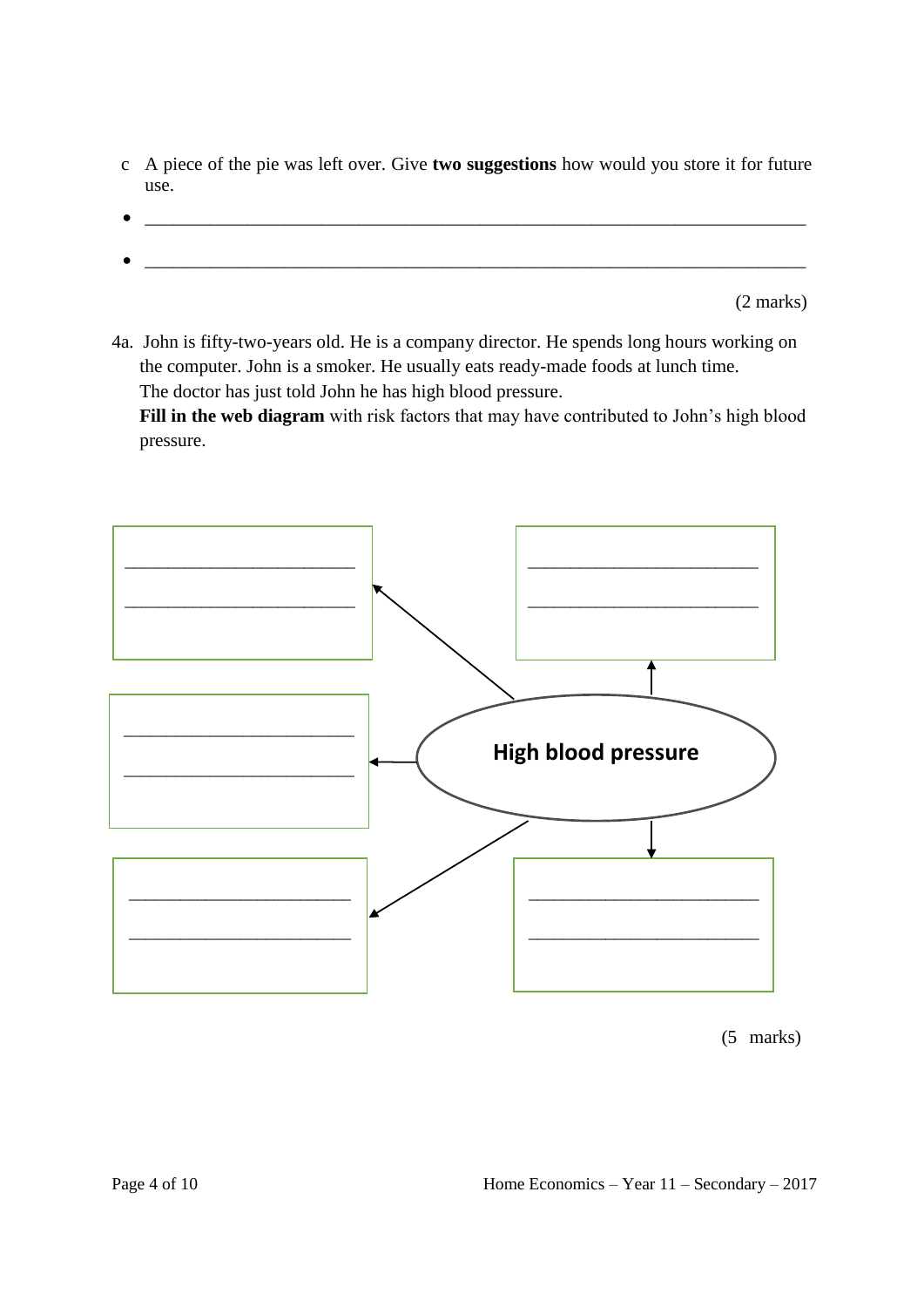- c A piece of the pie was left over. Give **two suggestions** how would you store it for future use.
- $\bullet$   $\_\_$

(2 marks)

4a. John is fifty-two-years old. He is a company director. He spends long hours working on the computer. John is a smoker. He usually eats ready-made foods at lunch time. The doctor has just told John he has high blood pressure.

 **Fill in the web diagram** with risk factors that may have contributed to John's high blood pressure.



(5 marks)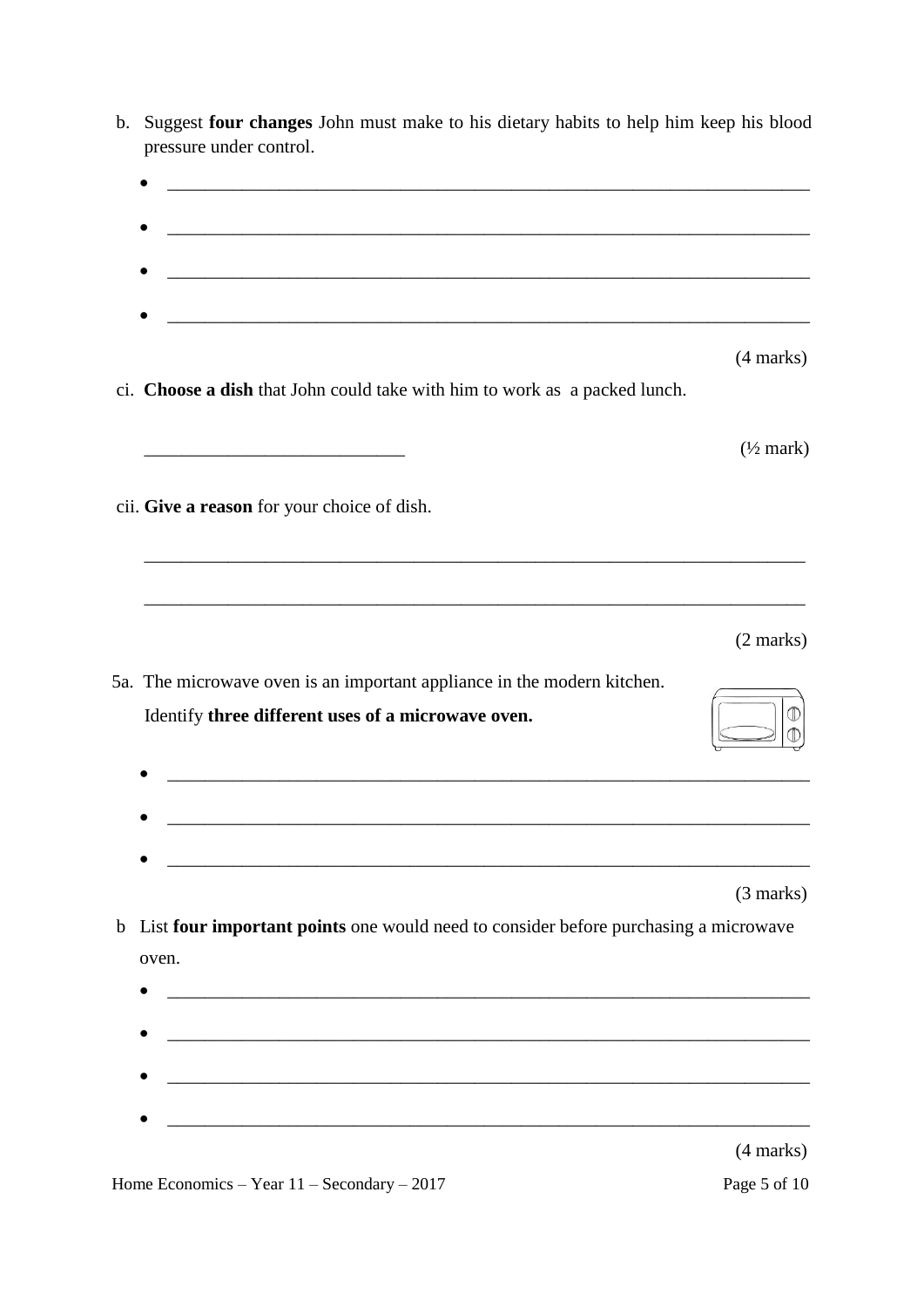| pressure under control.                                                                                                       |                      |
|-------------------------------------------------------------------------------------------------------------------------------|----------------------|
|                                                                                                                               |                      |
|                                                                                                                               |                      |
|                                                                                                                               |                      |
|                                                                                                                               | (4 marks)            |
| ci. Choose a dish that John could take with him to work as a packed lunch.                                                    |                      |
|                                                                                                                               | $(\frac{1}{2}$ mark) |
| cii. Give a reason for your choice of dish.                                                                                   |                      |
| and the control of the control of the control of the control of the control of the control of the control of the              |                      |
|                                                                                                                               | $(2 \text{ marks})$  |
| 5a. The microwave oven is an important appliance in the modern kitchen.<br>Identify three different uses of a microwave oven. |                      |
|                                                                                                                               |                      |
|                                                                                                                               | $(3 \text{ marks})$  |
| List four important points one would need to consider before purchasing a microwave<br>oven.                                  |                      |
|                                                                                                                               |                      |
|                                                                                                                               |                      |
| <u> 1989 - Johann Barbara, marka a shekara tsa 1989 - An tsa 1989 - An tsa 1989 - An tsa 1989 - An tsa 1989 - An</u>          |                      |
|                                                                                                                               | (4 marks)            |

b. Suggest **four changes** John must make to his dietary habits to help him keep his blood

Home Economics – Year  $11$  – Secondary – 2017 Page 5 of 10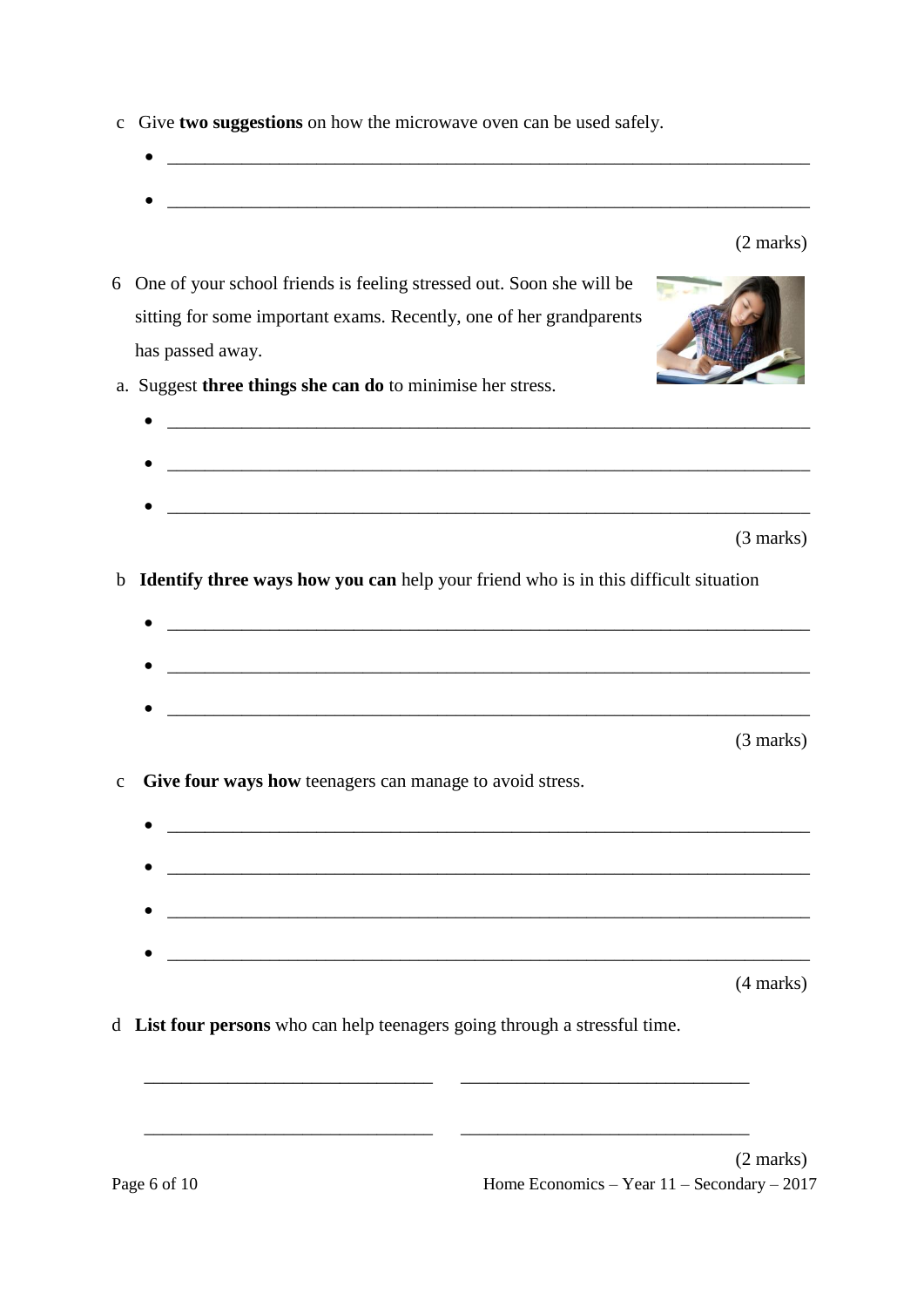- cGive **two suggestions** on how the microwave oven can be used safely.
	-

(2 marks)

- 6 One of your school friends is feeling stressed out. Soon she will be sitting for some important exams. Recently, one of her grandparents has passed away. a. Suggest **three things she can do** to minimise her stress.  $\bullet$   $\overbrace{\phantom{xx}$   $\phantom{xx}$   $\phantom{xx}$   $\phantom{xx}$   $\phantom{xx}$   $\phantom{xx}$   $\phantom{xx}$   $\phantom{xx}$   $\phantom{xx}$   $\phantom{xx}$   $\phantom{xx}$   $\phantom{xx}$   $\phantom{xx}$   $\phantom{xx}$   $\phantom{xx}$   $\phantom{xx}$   $\phantom{xx}$   $\phantom{xx}$   $\phantom{xx}$   $\phantom{xx}$   $\phantom{xx}$   $\phantom{xx}$   $\phantom{xx}$   $\phantom{xx$ 
	- (3 marks)

b **Identify three ways how you can** help your friend who is in this difficult situation

 $\bullet$   $\overbrace{\phantom{xx}$   $\phantom{xx}$   $\phantom{xx}$   $\phantom{xx}$   $\phantom{xx}$   $\phantom{xx}$   $\phantom{xx}$   $\phantom{xx}$   $\phantom{xx}$   $\phantom{xx}$   $\phantom{xx}$   $\phantom{xx}$   $\phantom{xx}$   $\phantom{xx}$   $\phantom{xx}$   $\phantom{xx}$   $\phantom{xx}$   $\phantom{xx}$   $\phantom{xx}$   $\phantom{xx}$   $\phantom{xx}$   $\phantom{xx}$   $\phantom{xx}$   $\phantom{xx$ 

(3 marks)

- c **Give four ways how** teenagers can manage to avoid stress.
	- $\overline{\phantom{a}}$  , and the contribution of the contribution of the contribution of the contribution of the contribution of the contribution of the contribution of the contribution of the contribution of the contribution of the  $\bullet$   $\_$ (4 marks)
- d **List four persons** who can help teenagers going through a stressful time.

\_\_\_\_\_\_\_\_\_\_\_\_\_\_\_\_\_\_\_\_\_\_\_\_\_\_\_\_\_\_\_ \_\_\_\_\_\_\_\_\_\_\_\_\_\_\_\_\_\_\_\_\_\_\_\_\_\_\_\_\_\_\_

\_\_\_\_\_\_\_\_\_\_\_\_\_\_\_\_\_\_\_\_\_\_\_\_\_\_\_\_\_\_\_ \_\_\_\_\_\_\_\_\_\_\_\_\_\_\_\_\_\_\_\_\_\_\_\_\_\_\_\_\_\_\_

Page 6 of 10  $\mu$  Home Economics – Year 11 – Secondary – 2017 (2 marks)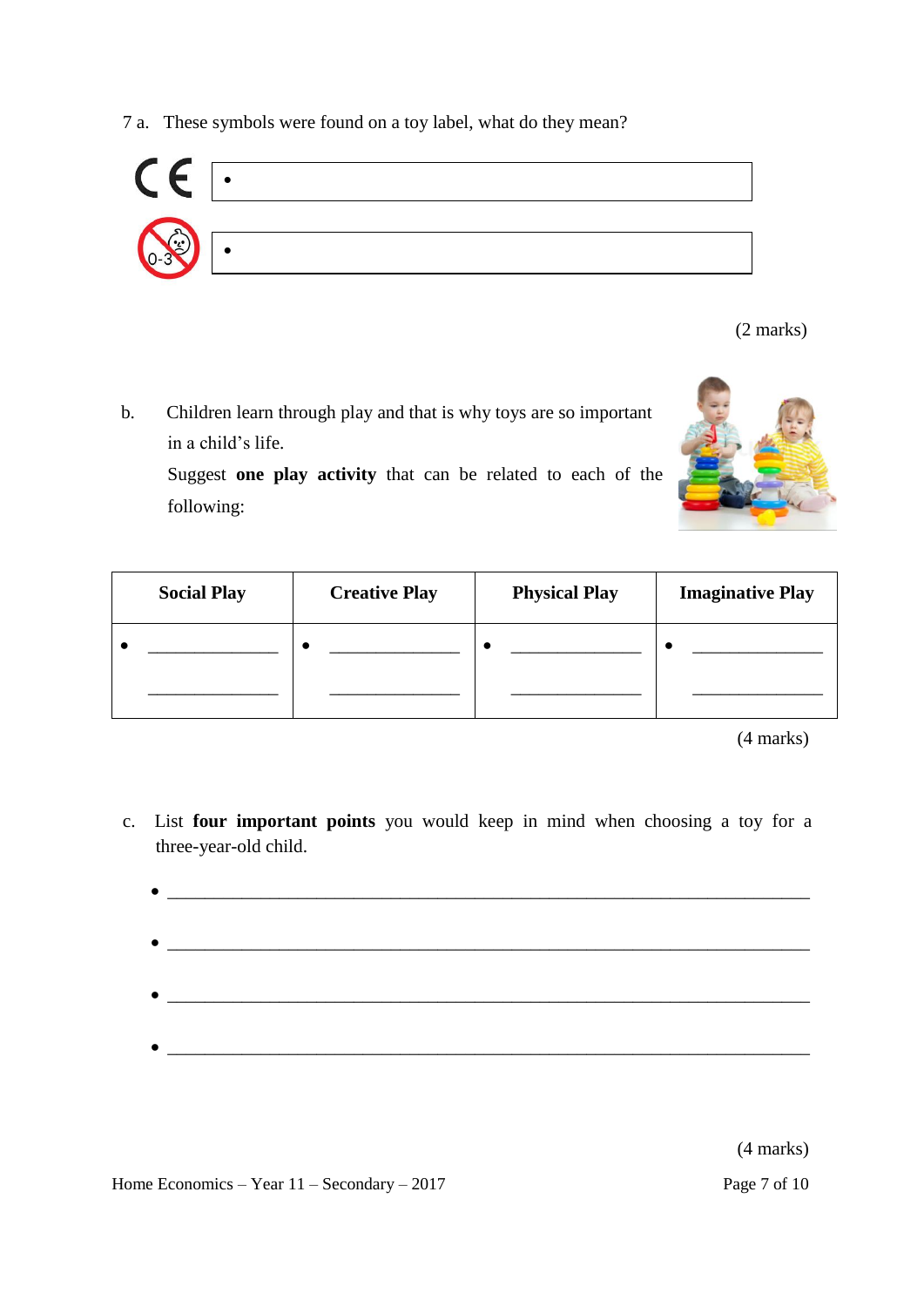7 a.These symbols were found on a toy label, what do they mean?



(2 marks)

 b.Children learn through play and that is why toys are so important in a child's life.

Suggest **one play activity** that can be related to each of the following:



| <b>Social Play</b> | <b>Creative Play</b> | <b>Physical Play</b> | <b>Imaginative Play</b> |
|--------------------|----------------------|----------------------|-------------------------|
|                    |                      |                      |                         |
|                    |                      |                      |                         |

(4 marks)

c.List **four important points** you would keep in mind when choosing a toy for a three-year-old child.

| $\bullet$ |  |
|-----------|--|
|           |  |
|           |  |
|           |  |
|           |  |
|           |  |

(4 marks)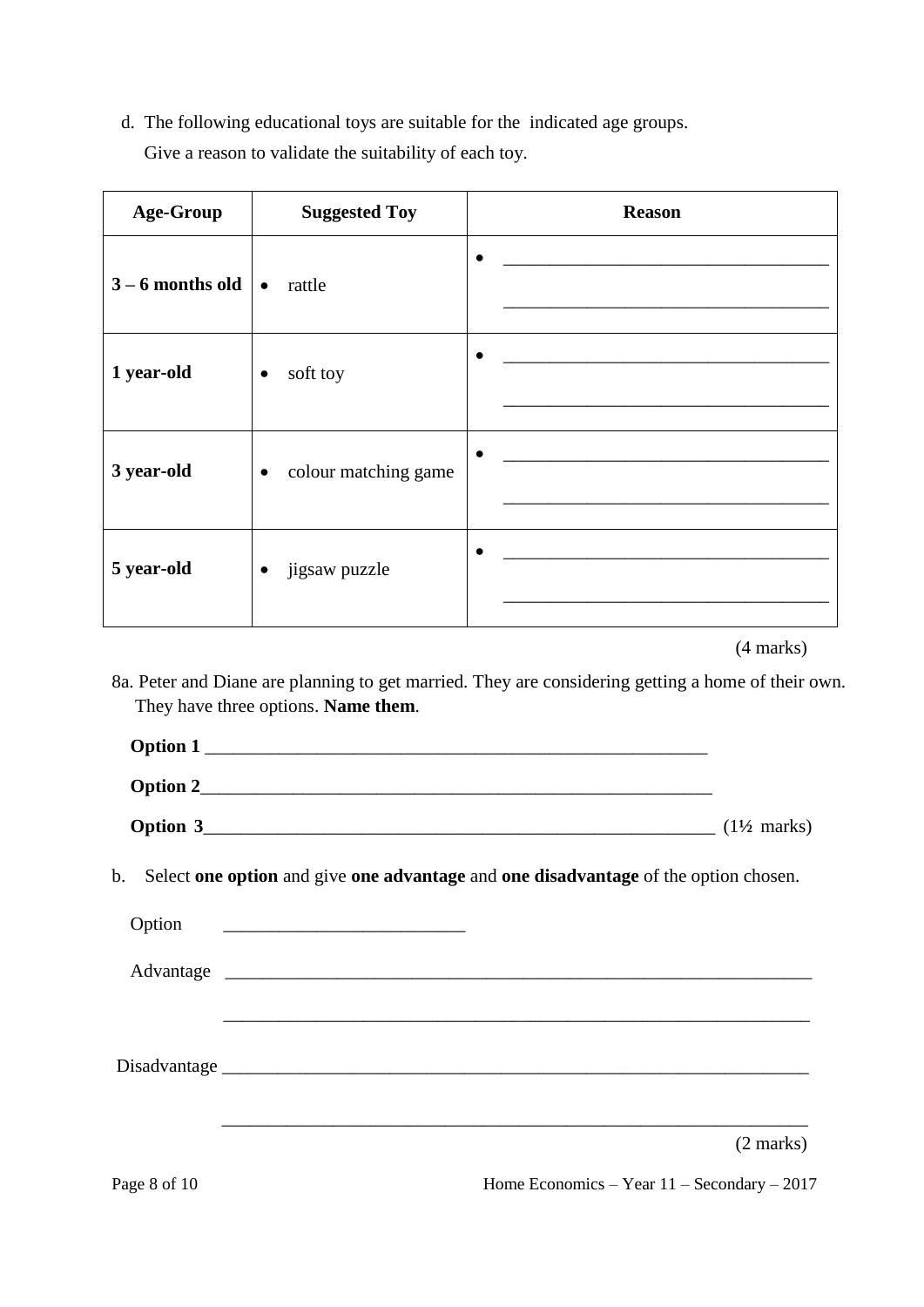d.The following educational toys are suitable for the indicated age groups. Give a reason to validate the suitability of each toy.

| <b>Age-Group</b>   | <b>Suggested Toy</b>              | <b>Reason</b> |
|--------------------|-----------------------------------|---------------|
| $3 - 6$ months old | rattle<br>$\bullet$               | $\bullet$     |
| 1 year-old         | soft toy<br>$\bullet$             | $\bullet$     |
| 3 year-old         | colour matching game<br>$\bullet$ | $\bullet$     |
| 5 year-old         | jigsaw puzzle<br>$\bullet$        | $\bullet$     |

(4 marks)

8a. Peter and Diane are planning to get married. They are considering getting a home of their own. They have three options. **Name them**.

| <b>Option 1</b> |                        |
|-----------------|------------------------|
| Option 2        |                        |
| Option 3        | $(1\frac{1}{2}$ marks) |

b. Select **one option** and give **one advantage** and **one disadvantage** of the option chosen.

| Option |  |                     |
|--------|--|---------------------|
|        |  |                     |
|        |  |                     |
|        |  |                     |
|        |  | $(2 \text{ marks})$ |

Page 8 of 10 Home Economics – Year 11 – Secondary – 2017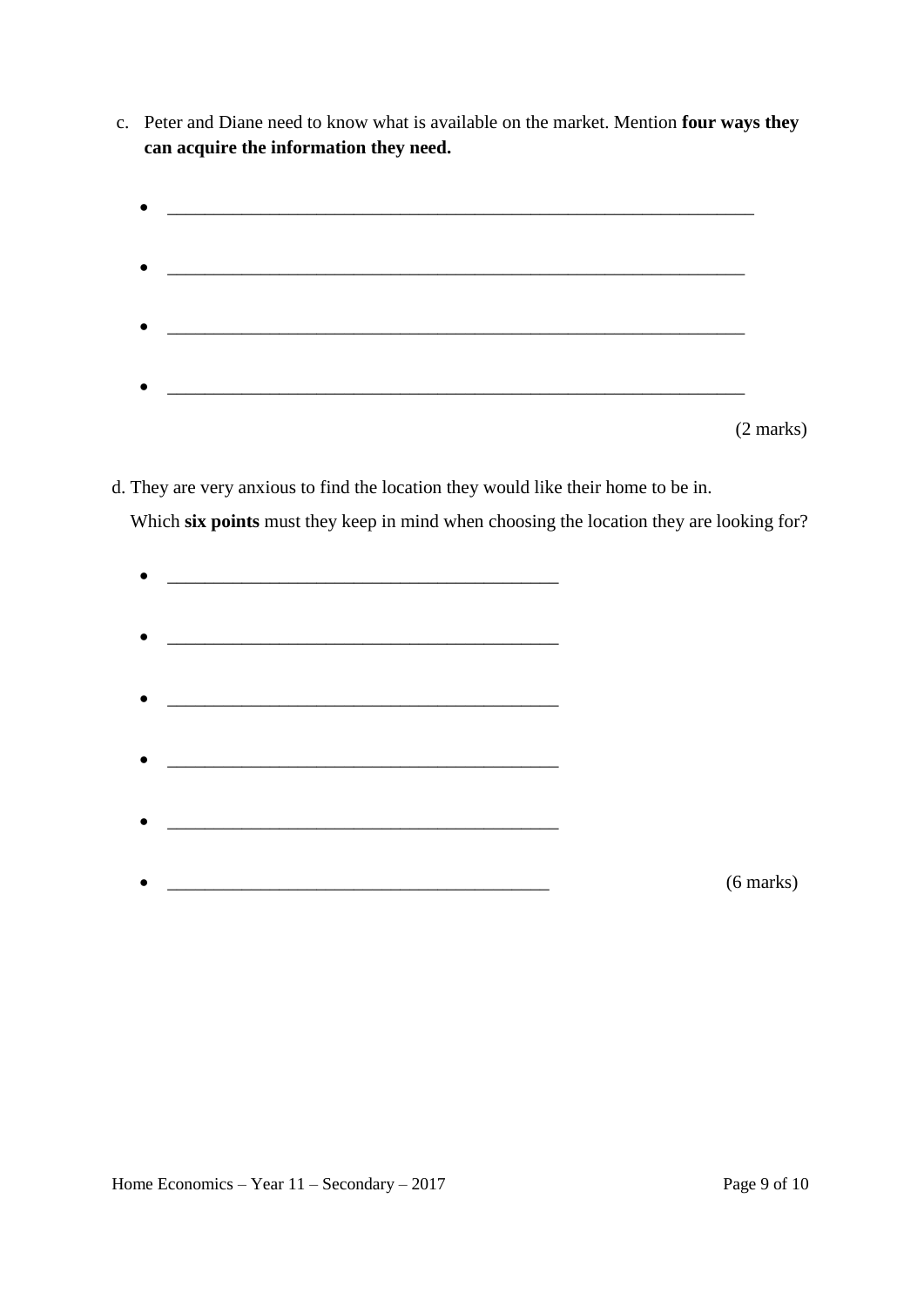- c. Peter and Diane need to know what is available on the market. Mention **four ways they can acquire the information they need.**
	- $\bullet$   $\hspace{0.2cm}$   $\hspace{0.2cm}$   $\hspace{0.2cm}$   $\hspace{0.2cm}$   $\hspace{0.2cm}$   $\hspace{0.2cm}$   $\hspace{0.2cm}$   $\hspace{0.2cm}$   $\hspace{0.2cm}$   $\hspace{0.2cm}$   $\hspace{0.2cm}$   $\hspace{0.2cm}$   $\hspace{0.2cm}$   $\hspace{0.2cm}$   $\hspace{0.2cm}$   $\hspace{0.2cm}$   $\hspace{0.2cm}$   $\hspace{0.2cm}$  \_\_\_\_\_\_\_\_\_\_\_\_\_\_\_\_\_\_\_\_\_\_\_\_\_\_\_\_\_\_\_\_\_\_\_\_\_\_\_\_\_\_\_\_\_\_\_\_\_\_\_\_\_\_\_\_\_\_\_\_\_\_  $\bullet$   $\overbrace{\phantom{xxxxx}}$  $\bullet$  . The contract of the contract of the contract of the contract of the contract of the contract of the contract of

(2 marks)

d. They are very anxious to find the location they would like their home to be in.

Which **six points** must they keep in mind when choosing the location they are looking for?

| $\bullet$ |                                                           |             |
|-----------|-----------------------------------------------------------|-------------|
|           |                                                           |             |
|           |                                                           |             |
| $\bullet$ | <u> 1989 - John Stein, Amerikaansk politiker (* 1958)</u> |             |
|           |                                                           |             |
| ٠         |                                                           |             |
|           |                                                           |             |
|           |                                                           |             |
| $\bullet$ |                                                           |             |
|           |                                                           |             |
| $\bullet$ |                                                           |             |
|           |                                                           |             |
|           |                                                           |             |
| $\bullet$ |                                                           | $(6$ marks) |